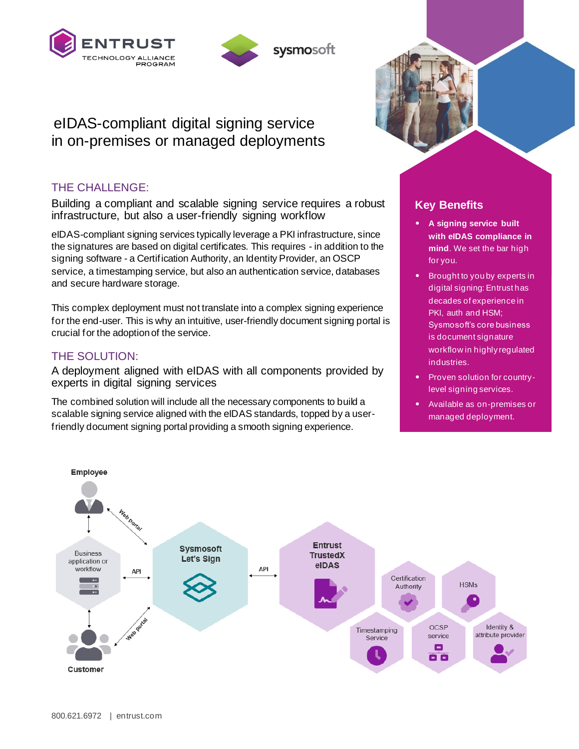



sysmosoft

# eIDAS-compliant digital signing service in on-premises or managed deployments

## THE CHALLENGE:

Building a compliant and scalable signing service requires a robust infrastructure, but also a user-friendly signing workflow

eIDAS-compliant signing services typically leverage a PKI infrastructure, since the signatures are based on digital certificates. This requires - in addition to the signing software - a Certification Authority, an Identity Provider, an OSCP service, a timestamping service, but also an authentication service, databases and secure hardware storage.

This complex deployment must not translate into a complex signing experience for the end-user. This is why an intuitive, user-friendly document signing portal is crucial for the adoption of the service.

## THE SOLUTION:

A deployment aligned with eIDAS with all components provided by experts in digital signing services

The combined solution will include all the necessary components to build a scalable signing service aligned with the eIDAS standards, topped by a userfriendly document signing portal providing a smooth signing experience.



## **Key Benefits**

- **A signing service built with eIDAS compliance in mind**. We set the bar high for you.
- Brought to you by experts in digital signing: Entrust has decades of experience in PKI, auth and HSM; Sysmosoft's core business is document signature workflow in highly regulated industries.
- Proven solution for countrylevel signing services.
- Available as on-premises or managed deployment.